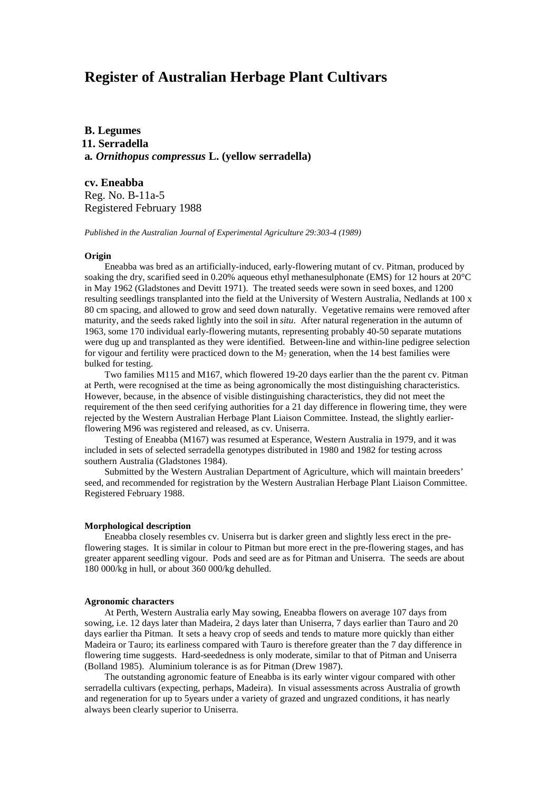# **Register of Australian Herbage Plant Cultivars**

**B. Legumes 11. Serradella a***. Ornithopus compressus* **L. (yellow serradella)**

**cv. Eneabba** Reg. No. B-11a-5 Registered February 1988

*Published in the Australian Journal of Experimental Agriculture 29:303-4 (1989)*

### **Origin**

Eneabba was bred as an artificially-induced, early-flowering mutant of cv. Pitman, produced by soaking the dry, scarified seed in 0.20% aqueous ethyl methanesulphonate (EMS) for 12 hours at 20°C in May 1962 (Gladstones and Devitt 1971). The treated seeds were sown in seed boxes, and 1200 resulting seedlings transplanted into the field at the University of Western Australia, Nedlands at 100 x 80 cm spacing, and allowed to grow and seed down naturally. Vegetative remains were removed after maturity, and the seeds raked lightly into the soil in *situ*. After natural regeneration in the autumn of 1963, some 170 individual early-flowering mutants, representing probably 40-50 separate mutations were dug up and transplanted as they were identified. Between-line and within-line pedigree selection for vigour and fertility were practiced down to the  $M_7$  generation, when the 14 best families were bulked for testing.

Two families M115 and M167, which flowered 19-20 days earlier than the the parent cv. Pitman at Perth, were recognised at the time as being agronomically the most distinguishing characteristics. However, because, in the absence of visible distinguishing characteristics, they did not meet the requirement of the then seed cerifying authorities for a 21 day difference in flowering time, they were rejected by the Western Australian Herbage Plant Liaison Committee. Instead, the slightly earlierflowering M96 was registered and released, as cv. Uniserra.

Testing of Eneabba (M167) was resumed at Esperance, Western Australia in 1979, and it was included in sets of selected serradella genotypes distributed in 1980 and 1982 for testing across southern Australia (Gladstones 1984).

Submitted by the Western Australian Department of Agriculture, which will maintain breeders' seed, and recommended for registration by the Western Australian Herbage Plant Liaison Committee. Registered February 1988.

#### **Morphological description**

Eneabba closely resembles cv. Uniserra but is darker green and slightly less erect in the preflowering stages. It is similar in colour to Pitman but more erect in the pre-flowering stages, and has greater apparent seedling vigour. Pods and seed are as for Pitman and Uniserra. The seeds are about 180 000/kg in hull, or about 360 000/kg dehulled.

# **Agronomic characters**

At Perth, Western Australia early May sowing, Eneabba flowers on average 107 days from sowing, i.e. 12 days later than Madeira, 2 days later than Uniserra, 7 days earlier than Tauro and 20 days earlier tha Pitman. It sets a heavy crop of seeds and tends to mature more quickly than either Madeira or Tauro; its earliness compared with Tauro is therefore greater than the 7 day difference in flowering time suggests. Hard-seededness is only moderate, similar to that of Pitman and Uniserra (Bolland 1985). Aluminium tolerance is as for Pitman (Drew 1987).

The outstanding agronomic feature of Eneabba is its early winter vigour compared with other serradella cultivars (expecting, perhaps, Madeira). In visual assessments across Australia of growth and regeneration for up to 5years under a variety of grazed and ungrazed conditions, it has nearly always been clearly superior to Uniserra.